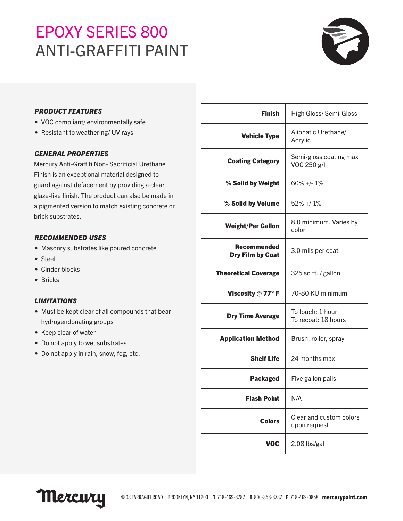## EPOXY SERIES 800 ANTI-GRAFFITI PAINT



#### *PRODUCT FEATURES*

- VOC compliant/ environmentally safe
- Resistant to weathering/ UV rays

#### *GENERAL PROPERTIES*

Mercury Anti-Graffiti Non- Sacrificial Urethane Finish is an exceptional material designed to guard against defacement by providing a clear glaze-like finish. The product can also be made in a pigmented version to match existing concrete or brick substrates.

#### *RECOMMENDED USES*

- Masonry substrates like poured concrete
- Steel
- Cinder blocks
- Bricks

#### *LIMITATIONS*

- Must be kept clear of all compounds that bear hydrogendonating groups
- Keep clear of water
- Do not apply to wet substrates
- Do not apply in rain, snow, fog, etc.

| <b>Finish</b>                                 | <b>High Gloss/Semi-Gloss</b>            |
|-----------------------------------------------|-----------------------------------------|
| <b>Vehicle Type</b>                           | Aliphatic Urethane/<br>Acrylic          |
| <b>Coating Category</b>                       | Semi-gloss coating max<br>VOC 250 g/l   |
| % Solid by Weight                             | $60\% +/- 1\%$                          |
| % Solid by Volume                             | $52\% +1.1\%$                           |
| <b>Weight/Per Gallon</b>                      | 8.0 minimum. Varies by<br>color         |
| <b>Recommended</b><br><b>Dry Film by Coat</b> | 3.0 mils per coat                       |
| <b>Theoretical Coverage</b>                   | 325 sq ft. / gallon                     |
| Viscosity $@$ 77° F                           | 70-80 KU minimum                        |
| <b>Dry Time Average</b>                       | To touch: 1 hour<br>To recoat: 18 hours |
| <b>Application Method</b>                     | Brush, roller, spray                    |
| <b>Shelf Life</b>                             | 24 months max                           |
| <b>Packaged</b>                               | Five gallon pails                       |
| <b>Flash Point</b>                            | N/A                                     |
| <b>Colors</b>                                 | Clear and custom colors<br>upon request |
| <b>VOC</b>                                    | 2.08 lbs/gal                            |
|                                               |                                         |